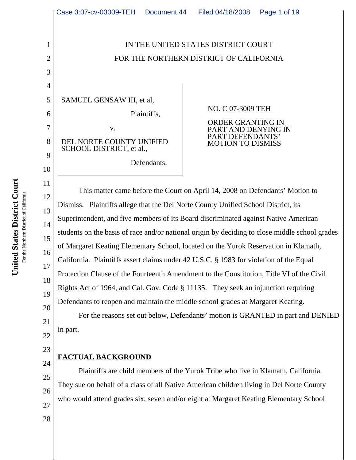

### **FACTUAL BACKGROUND**

Plaintiffs are child members of the Yurok Tribe who live in Klamath, California. They sue on behalf of a class of all Native American children living in Del Norte County who would attend grades six, seven and/or eight at Margaret Keating Elementary School

United States District Court **United States District Court** For the Northern District of California For the Northern District of California

24

25

26

27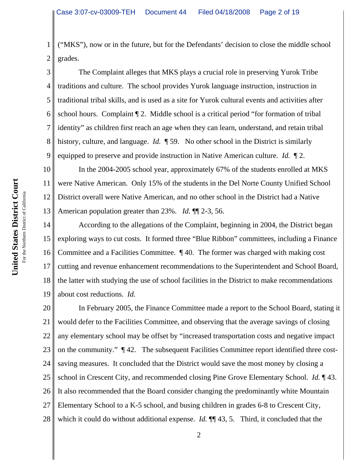1 2 ("MKS"), now or in the future, but for the Defendants' decision to close the middle school grades.

3 4 5 6 7 8 9 The Complaint alleges that MKS plays a crucial role in preserving Yurok Tribe traditions and culture. The school provides Yurok language instruction, instruction in traditional tribal skills, and is used as a site for Yurok cultural events and activities after school hours. Complaint ¶ 2. Middle school is a critical period "for formation of tribal identity" as children first reach an age when they can learn, understand, and retain tribal history, culture, and language. *Id.* ¶ 59. No other school in the District is similarly equipped to preserve and provide instruction in Native American culture. *Id.* ¶ 2.

10 11 12 13 In the 2004-2005 school year, approximately 67% of the students enrolled at MKS were Native American. Only 15% of the students in the Del Norte County Unified School District overall were Native American, and no other school in the District had a Native American population greater than 23%. *Id.* ¶¶ 2-3, 56.

14 15 16 17 18 19 According to the allegations of the Complaint, beginning in 2004, the District began exploring ways to cut costs. It formed three "Blue Ribbon" committees, including a Finance Committee and a Facilities Committee. ¶ 40. The former was charged with making cost cutting and revenue enhancement recommendations to the Superintendent and School Board, the latter with studying the use of school facilities in the District to make recommendations about cost reductions. *Id.*

20 21 22 23 24 25 26 27 28 In February 2005, the Finance Committee made a report to the School Board, stating it would defer to the Facilities Committee, and observing that the average savings of closing any elementary school may be offset by "increased transportation costs and negative impact on the community." ¶ 42. The subsequent Facilities Committee report identified three costsaving measures. It concluded that the District would save the most money by closing a school in Crescent City, and recommended closing Pine Grove Elementary School. *Id.* ¶ 43. It also recommended that the Board consider changing the predominantly white Mountain Elementary School to a K-5 school, and busing children in grades 6-8 to Crescent City, which it could do without additional expense. *Id.*  $\P$  43, 5. Third, it concluded that the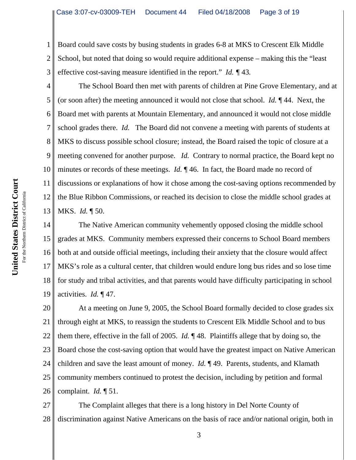1 2 3 Board could save costs by busing students in grades 6-8 at MKS to Crescent Elk Middle School, but noted that doing so would require additional expense – making this the "least effective cost-saving measure identified in the report." *Id. ¶* 43*.*

4 5 6 7 8 9 10 11 12 13 The School Board then met with parents of children at Pine Grove Elementary, and at (or soon after) the meeting announced it would not close that school. *Id.* ¶ 44. Next, the Board met with parents at Mountain Elementary, and announced it would not close middle school grades there. *Id.* The Board did not convene a meeting with parents of students at MKS to discuss possible school closure; instead, the Board raised the topic of closure at a meeting convened for another purpose. *Id.* Contrary to normal practice, the Board kept no minutes or records of these meetings. *Id.*  $\P$  46. In fact, the Board made no record of discussions or explanations of how it chose among the cost-saving options recommended by the Blue Ribbon Commissions, or reached its decision to close the middle school grades at MKS. *Id.* ¶ 50.

14 15 16 17 18 19 The Native American community vehemently opposed closing the middle school grades at MKS. Community members expressed their concerns to School Board members both at and outside official meetings, including their anxiety that the closure would affect MKS's role as a cultural center, that children would endure long bus rides and so lose time for study and tribal activities, and that parents would have difficulty participating in school activities. *Id.* ¶ 47.

20 21 22 23 24 25 26 At a meeting on June 9, 2005, the School Board formally decided to close grades six through eight at MKS, to reassign the students to Crescent Elk Middle School and to bus them there, effective in the fall of 2005. *Id.* ¶ 48. Plaintiffs allege that by doing so, the Board chose the cost-saving option that would have the greatest impact on Native American children and save the least amount of money. *Id.* ¶ 49. Parents, students, and Klamath community members continued to protest the decision, including by petition and formal complaint. *Id.* ¶ 51.

27 28 The Complaint alleges that there is a long history in Del Norte County of discrimination against Native Americans on the basis of race and/or national origin, both in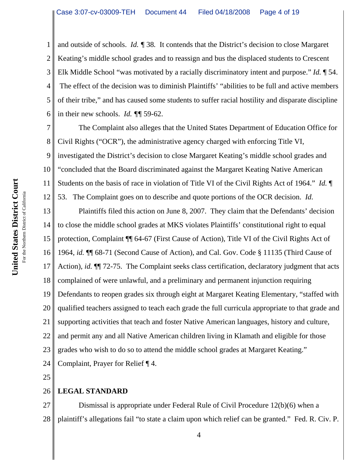1 2 3 4 5 6 and outside of schools. *Id. ¶* 38*.* It contends that the District's decision to close Margaret Keating's middle school grades and to reassign and bus the displaced students to Crescent Elk Middle School "was motivated by a racially discriminatory intent and purpose." *Id.* ¶ 54. The effect of the decision was to diminish Plaintiffs' "abilities to be full and active members of their tribe," and has caused some students to suffer racial hostility and disparate discipline in their new schools. *Id. ¶¶* 59-62.

7 8 9 10 11 12 The Complaint also alleges that the United States Department of Education Office for Civil Rights ("OCR"), the administrative agency charged with enforcing Title VI, investigated the District's decision to close Margaret Keating's middle school grades and "concluded that the Board discriminated against the Margaret Keating Native American Students on the basis of race in violation of Title VI of the Civil Rights Act of 1964." *Id.* ¶ 53. The Complaint goes on to describe and quote portions of the OCR decision. *Id.*

13 14 15 16 17 18 19 20 21 22 23 24 Plaintiffs filed this action on June 8, 2007. They claim that the Defendants' decision to close the middle school grades at MKS violates Plaintiffs' constitutional right to equal protection, Complaint ¶¶ 64-67 (First Cause of Action), Title VI of the Civil Rights Act of 1964, *id.* ¶¶ 68-71 (Second Cause of Action), and Cal. Gov. Code § 11135 (Third Cause of Action), *id.*  $\P$ <sup> $\parallel$ </sup> 72-75. The Complaint seeks class certification, declaratory judgment that acts complained of were unlawful, and a preliminary and permanent injunction requiring Defendants to reopen grades six through eight at Margaret Keating Elementary, "staffed with qualified teachers assigned to teach each grade the full curricula appropriate to that grade and supporting activities that teach and foster Native American languages, history and culture, and permit any and all Native American children living in Klamath and eligible for those grades who wish to do so to attend the middle school grades at Margaret Keating." Complaint, Prayer for Relief ¶ 4.

25

### 26 **LEGAL STANDARD**

27 28 Dismissal is appropriate under Federal Rule of Civil Procedure 12(b)(6) when a plaintiff's allegations fail "to state a claim upon which relief can be granted." Fed. R. Civ. P.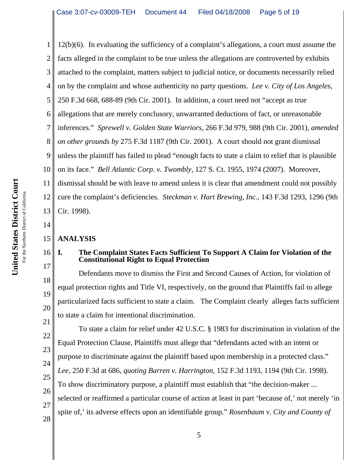1 2 3 4 5 6 7 8 9 10 11 12 13 12(b)(6). In evaluating the sufficiency of a complaint's allegations, a court must assume the facts alleged in the complaint to be true unless the allegations are controverted by exhibits attached to the complaint, matters subject to judicial notice, or documents necessarily relied on by the complaint and whose authenticity no party questions. *Lee v. City of Los Angeles*, 250 F.3d 668, 688-89 (9th Cir. 2001). In addition, a court need not "accept as true allegations that are merely conclusory, unwarranted deductions of fact, or unreasonable inferences." *Sprewell v. Golden State Warriors*, 266 F.3d 979, 988 (9th Cir. 2001), *amended on other grounds by* 275 F.3d 1187 (9th Cir. 2001). A court should not grant dismissal unless the plaintiff has failed to plead "enough facts to state a claim to relief that is plausible on its face." *Bell Atlantic Corp. v. Twombly*, 127 S. Ct. 1955, 1974 (2007). Moreover, dismissal should be with leave to amend unless it is clear that amendment could not possibly cure the complaint's deficiencies. *Steckman v. Hart Brewing, Inc.*, 143 F.3d 1293, 1296 (9th Cir. 1998).

### 15 **ANALYSIS**

14

16

17

18

19

20

# **I. The Complaint States Facts Sufficient To Support A Claim for Violation of the Constitutional Right to Equal Protection**

Defendants move to dismiss the First and Second Causes of Action, for violation of equal protection rights and Title VI, respectively, on the ground that Plaintiffs fail to allege particularized facts sufficient to state a claim. The Complaint clearly alleges facts sufficient to state a claim for intentional discrimination.

21 22 23 24 25 26 27 28 To state a claim for relief under 42 U.S.C. § 1983 for discrimination in violation of the Equal Protection Clause, Plaintiffs must allege that "defendants acted with an intent or purpose to discriminate against the plaintiff based upon membership in a protected class." *Lee,* 250 F.3d at 686, *quoting Barren v. Harrington*, 152 F.3d 1193, 1194 (9th Cir. 1998). To show discriminatory purpose, a plaintiff must establish that "the decision-maker ... selected or reaffirmed a particular course of action at least in part 'because of,' not merely 'in spite of,' its adverse effects upon an identifiable group." *Rosenbaum v. City and County of*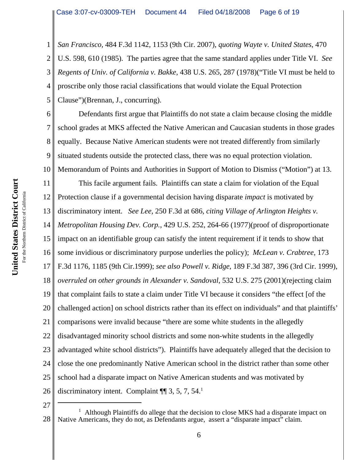1 2 3 4 5 *San Francisco,* 484 F.3d 1142, 1153 (9th Cir. 2007), *quoting Wayte v. United States*, 470 U.S. 598, 610 (1985). The parties agree that the same standard applies under Title VI. *See Regents of Univ. of California v. Bakke*, 438 U.S. 265, 287 (1978)("Title VI must be held to proscribe only those racial classifications that would violate the Equal Protection Clause")(Brennan, J., concurring).

6 7 8 9 10 Defendants first argue that Plaintiffs do not state a claim because closing the middle school grades at MKS affected the Native American and Caucasian students in those grades equally. Because Native American students were not treated differently from similarly situated students outside the protected class, there was no equal protection violation. Memorandum of Points and Authorities in Support of Motion to Dismiss ("Motion") at 13.

11 12 13 14 15 16 17 18 19 20 21 22 23 24 25 26 This facile argument fails. Plaintiffs can state a claim for violation of the Equal Protection clause if a governmental decision having disparate *impact* is motivated by discriminatory intent. *See Lee,* 250 F.3d at 686, *citing Village of Arlington Heights v. Metropolitan Housing Dev. Corp.*, 429 U.S. 252, 264-66 (1977)(proof of disproportionate impact on an identifiable group can satisfy the intent requirement if it tends to show that some invidious or discriminatory purpose underlies the policy); *McLean v. Crabtree*, 173 F.3d 1176, 1185 (9th Cir.1999); *see also Powell v. Ridge*, 189 F.3d 387, 396 (3rd Cir. 1999), *overruled on other grounds in Alexander v. Sandoval*, 532 U.S. 275 (2001)(rejecting claim that complaint fails to state a claim under Title VI because it considers "the effect [of the challenged action] on school districts rather than its effect on individuals" and that plaintiffs' comparisons were invalid because "there are some white students in the allegedly disadvantaged minority school districts and some non-white students in the allegedly advantaged white school districts"). Plaintiffs have adequately alleged that the decision to close the one predominantly Native American school in the district rather than some other school had a disparate impact on Native American students and was motivated by discriminatory intent. Complaint  $\P$  3, 5, 7, 54.<sup>1</sup>

<sup>28</sup> <sup>1</sup> Although Plaintiffs do allege that the decision to close MKS had a disparate impact on Native Americans, they do not, as Defendants argue, assert a "disparate impact" claim.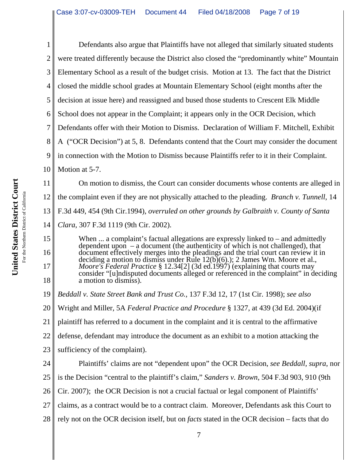1 2 3 4 5 6 7 8 9 10 Defendants also argue that Plaintiffs have not alleged that similarly situated students were treated differently because the District also closed the "predominantly white" Mountain Elementary School as a result of the budget crisis. Motion at 13. The fact that the District closed the middle school grades at Mountain Elementary School (eight months after the decision at issue here) and reassigned and bused those students to Crescent Elk Middle School does not appear in the Complaint; it appears only in the OCR Decision, which Defendants offer with their Motion to Dismiss. Declaration of William F. Mitchell, Exhibit A ("OCR Decision") at 5, 8. Defendants contend that the Court may consider the document in connection with the Motion to Dismiss because Plaintiffs refer to it in their Complaint. Motion at 5-7.

11 12 13 14 On motion to dismiss, the Court can consider documents whose contents are alleged in the complaint even if they are not physically attached to the pleading. *Branch v. Tunnell*, 14 F.3d 449, 454 (9th Cir.1994), *overruled on other grounds by Galbraith v. County of Santa Clara*, 307 F.3d 1119 (9th Cir. 2002).

When ... a complaint's factual allegations are expressly linked to – and admittedly dependent upon  $-$  a document (the authenticity of which is not challenged), that document effectively merges into the pleadings and the trial court can review it in deciding a motion to dismiss under Rule 12(b)(6).); 2 James Wm. Moore et al., *Moore's Federal Practice* § 12.34[2] (3d ed.1997) (explaining that courts may consider "[u]ndisputed documents alleged or referenced in the complaint" in deciding a motion to dismiss).

19 *Beddall v. State Street Bank and Trust Co.,* 137 F.3d 12, 17 (1st Cir. 1998); *see also*

20 Wright and Miller, 5A *Federal Practice and Procedure* § 1327, at 439 (3d Ed. 2004)(if

21 plaintiff has referred to a document in the complaint and it is central to the affirmative

22 defense, defendant may introduce the document as an exhibit to a motion attacking the

23 sufficiency of the complaint).

24 25 26 27 28 Plaintiffs' claims are not "dependent upon" the OCR Decision, *see Beddall, supra*, nor is the Decision "central to the plaintiff's claim," *Sanders v. Brown*, 504 F.3d 903, 910 (9th Cir. 2007); the OCR Decision is not a crucial factual or legal component of Plaintiffs' claims, as a contract would be to a contract claim. Moreover, Defendants ask this Court to rely not on the OCR decision itself, but on *facts* stated in the OCR decision – facts that do

15

16

17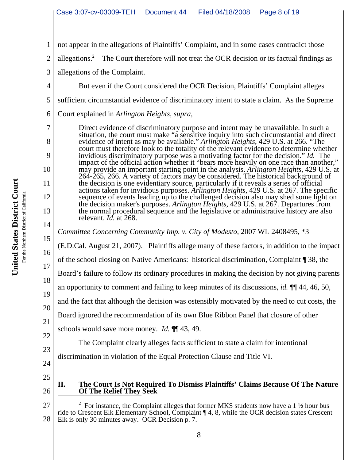1 2 3 4 5 6 7 8 9 10 11 12 13 14 15 16 17 18 19 20 21 22 23 24 25 26 27 <sup>2</sup> For instance, the Complaint alleges that former MKS students now have a 1  $\frac{1}{2}$  hour bus ride to Crescent Elk Elementary School, Complaint ¶ 4, 8, while the OCR decision states Crescent not appear in the allegations of Plaintiffs' Complaint, and in some cases contradict those allegations.<sup>2</sup> The Court therefore will not treat the OCR decision or its factual findings as allegations of the Complaint. But even if the Court considered the OCR Decision, Plaintiffs' Complaint alleges sufficient circumstantial evidence of discriminatory intent to state a claim. As the Supreme Court explained in *Arlington Heights*, *supra,* Direct evidence of discriminatory purpose and intent may be unavailable. In such a situation, the court must make "a sensitive inquiry into such circumstantial and direct evidence of intent as may be available." *Arlington Heights*, 429 U.S. at 266. "The court must therefore look to the totality of the relevant evidence to determine whether invidious discriminatory purpose was a motivating factor for the decision." *Id.* The impact of the official action whether it "bears more heavily on one race than another," may provide an important starting point in the analysis. *Arlington Heights*, 429 U.S. at 264-265, 266. A variety of factors may be considered. The historical background of the decision is one evidentiary source, particularly if it reveals a series of official actions taken for invidious purposes. *Arlington Heights*, 429 U.S. at 267. The specific sequence of events leading up to the challenged decision also may shed some light on the decision maker's purposes. *Arlington Heights*, 429 U.S. at 267. Departures from the normal procedural sequence and the legislative or administrative history are also relevant. *Id.* at 268. *Committee Concerning Community Imp. v. City of Modesto,* 2007 WL 2408495, \*3 (E.D.Cal. August 21, 2007). Plaintiffs allege many of these factors, in addition to the impact of the school closing on Native Americans: historical discrimination, Complaint ¶ 38, the Board's failure to follow its ordinary procedures in making the decision by not giving parents an opportunity to comment and failing to keep minutes of its discussions, *id.* ¶¶ 44, 46, 50, and the fact that although the decision was ostensibly motivated by the need to cut costs, the Board ignored the recommendation of its own Blue Ribbon Panel that closure of other schools would save more money. *Id.* ¶¶ 43, 49. The Complaint clearly alleges facts sufficient to state a claim for intentional discrimination in violation of the Equal Protection Clause and Title VI. **II. The Court Is Not Required To Dismiss Plaintiffs' Claims Because Of The Nature Of The Relief They Seek**

28

Elk is only 30 minutes away. OCR Decision p. 7.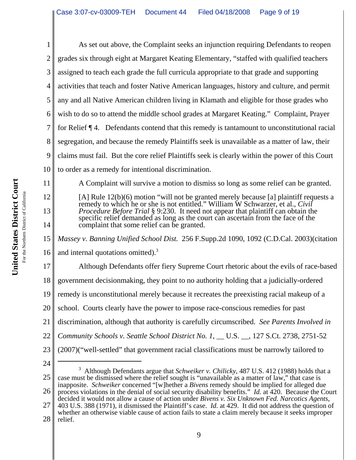1 2 3 4 5 6 7 8 9 10 As set out above, the Complaint seeks an injunction requiring Defendants to reopen grades six through eight at Margaret Keating Elementary, "staffed with qualified teachers assigned to teach each grade the full curricula appropriate to that grade and supporting activities that teach and foster Native American languages, history and culture, and permit any and all Native American children living in Klamath and eligible for those grades who wish to do so to attend the middle school grades at Margaret Keating." Complaint, Prayer for Relief ¶ 4. Defendants contend that this remedy is tantamount to unconstitutional racial segregation, and because the remedy Plaintiffs seek is unavailable as a matter of law, their claims must fail. But the core relief Plaintiffs seek is clearly within the power of this Court to order as a remedy for intentional discrimination.

[A] Rule 12(b)(6) motion "will not be granted merely because [a] plaintiff requests a remedy to which he or she is not entitled." William W Schwarzer, et al., *Civil Procedure Before Trial* § 9:230. It need not appear that plaintiff can obtain the specific relief demanded as long as the court can ascertain from the face of the complaint that some relief can be granted.

A Complaint will survive a motion to dismiss so long as some relief can be granted.

15 16 *Massey v. Banning Unified School Dist.* 256 F.Supp.2d 1090, 1092 (C.D.Cal. 2003)(citation and internal quotations omitted). $3$ 

17 18 19 20 21 22 23 Although Defendants offer fiery Supreme Court rhetoric about the evils of race-based government decisionmaking, they point to no authority holding that a judicially-ordered remedy is unconstitutional merely because it recreates the preexisting racial makeup of a school. Courts clearly have the power to impose race-conscious remedies for past discrimination, although that authority is carefully circumscribed. *See Parents Involved in Community Schools v. Seattle School District No. 1,* \_\_ U.S. \_\_, 127 S.Ct. 2738, 2751-52 (2007)("well-settled" that government racial classifications must be narrowly tailored to

- 24 25 26 27 3 Although Defendants argue that *Schweiker v. Chilicky*, 487 U.S. 412 (1988) holds that a case must be dismissed where the relief sought is "unavailable as a matter of law," that case is inapposite. *Schweiker* concerned "[w]hether a *Bivens* remedy should be implied for alleged due process violations in the denial of social security disability benefits." *Id.* at 420. Because the Court decided it would not allow a cause of action under *Bivens v. Six Unknown Fed. Narcotics Agents*, 403 U.S. 388 (1971), it dismissed the Plaintiff's case. *Id.* at 429. It did not address the question of whether an otherwise viable cause of action fails to state a claim merely because it seeks improper
- 28 relief.

11

12

13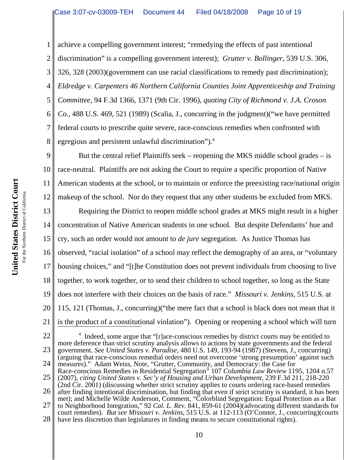1 2 3 4 5 6 7 8 achieve a compelling government interest; "remedying the effects of past intentional discrimination" is a compelling government interest); *Grutter v. Bollinger*, 539 U.S. 306, 326, 328 (2003)(government can use racial classifications to remedy past discrimination); *Eldredge v. Carpenters 46 Northern California Counties Joint Apprenticeship and Training Committee,* 94 F.3d 1366, 1371 (9th Cir. 1996), *quoting City of Richmond v. J.A. Croson Co.*, 488 U.S. 469, 521 (1989) (Scalia, J., concurring in the judgment)("we have permitted federal courts to prescribe quite severe, race-conscious remedies when confronted with egregious and persistent unlawful discrimination").<sup>4</sup>

9 10 11 12 But the central relief Plaintiffs seek – reopening the MKS middle school grades – is race-neutral. Plaintiffs are not asking the Court to require a specific proportion of Native American students at the school, or to maintain or enforce the preexisting race/national origin makeup of the school. Nor do they request that any other students be excluded from MKS.

13 14 15 16 17 18 19 20 Requiring the District to reopen middle school grades at MKS might result in a higher concentration of Native American students in one school. But despite Defendants' hue and cry, such an order would not amount to *de jure* segregation. As Justice Thomas has observed, "racial isolation" of a school may reflect the demography of an area, or "voluntary housing choices," and "[t]he Constitution does not prevent individuals from choosing to live together, to work together, or to send their children to school together, so long as the State does not interfere with their choices on the basis of race." *Missouri v. Jenkins*, 515 U.S. at 115, 121 (Thomas, J., concurring)("the mere fact that a school is black does not mean that it is the product of a constitutional violation"). Opening or reopening a school which will turn

21 22

23 24 25  $4$  Indeed, some argue that "[r]ace-conscious remedies by district courts may be entitled to more deference than strict scrutiny analysis allows to actions by state governments and the federal government. *See United States v. Paradise*, 480 U.S. 149, 193-94 (1987) (Stevens, J., concurring) (arguing that race-conscious remedial orders need not overcome 'strong presumption' against such measures)." Adam Weiss, Note, "Grutter, Community, and Democracy: the Case for Race-conscious Remedies in Residential Segregation" 107 *Columbia Law Review* 1195, 1204 n.57 (2007), *citing United States v. Sec'y of Housing and Urban Development*, 239 F.3d 211, 218-220

26 27 (2nd Cir. 2001) (discussing whether strict scrutiny applies to courts ordering race-based remedies after finding intentional discrimination, but finding that even if strict scrutiny is standard, it has been met); and Michelle Wilde Anderson, Comment, "Colorblind Segregation: Equal Protection as a Bar to Neighborhood Integration," 92 *Cal. L. Rev.* 841, 859-61 (2004)(advocating different standards for court remedies). *But see Missouri v. Jenkins*, 515 U.S. at 112-113 (O'Connor, J., concurring)(courts

28 have less discretion than legislatures in finding means to secure constitutional rights).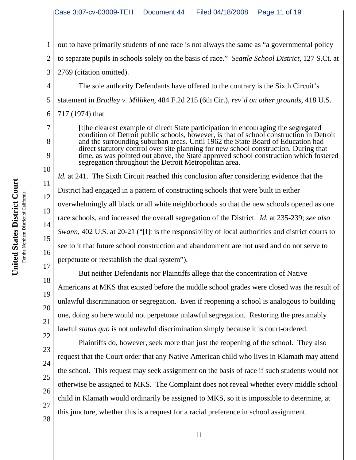1 2 3 4 5 6 7 8 9 10 11 12 13 14 15 16 17 18 19 20 21 22 23 24 out to have primarily students of one race is not always the same as "a governmental policy to separate pupils in schools solely on the basis of race." *Seattle School District*, 127 S.Ct. at 2769 (citation omitted). The sole authority Defendants have offered to the contrary is the Sixth Circuit's statement in *Bradley v. Milliken,* 484 F.2d 215 (6th Cir.), *rev'd on other grounds,* 418 U.S. 717 (1974) that [t]he clearest example of direct State participation in encouraging the segregated condition of Detroit public schools, however, is that of school construction in Detroit and the surrounding suburban areas. Until 1962 the State Board of Education had direct statutory control over site planning for new school construction. During that time, as was pointed out above, the State approved school construction which fostered segregation throughout the Detroit Metropolitan area. *Id.* at 241. The Sixth Circuit reached this conclusion after considering evidence that the District had engaged in a pattern of constructing schools that were built in either overwhelmingly all black or all white neighborhoods so that the new schools opened as one race schools, and increased the overall segregation of the District. *Id.* at 235-239; *see also Swann*, 402 U.S. at 20-21 ("[I]t is the responsibility of local authorities and district courts to see to it that future school construction and abandonment are not used and do not serve to perpetuate or reestablish the dual system"). But neither Defendants nor Plaintiffs allege that the concentration of Native Americans at MKS that existed before the middle school grades were closed was the result of unlawful discrimination or segregation. Even if reopening a school is analogous to building one, doing so here would not perpetuate unlawful segregation. Restoring the presumably lawful *status quo* is not unlawful discrimination simply because it is court-ordered. Plaintiffs do, however, seek more than just the reopening of the school. They also request that the Court order that any Native American child who lives in Klamath may attend

the school. This request may seek assignment on the basis of race if such students would not otherwise be assigned to MKS. The Complaint does not reveal whether every middle school child in Klamath would ordinarily be assigned to MKS, so it is impossible to determine, at this juncture, whether this is a request for a racial preference in school assignment.

26

25

28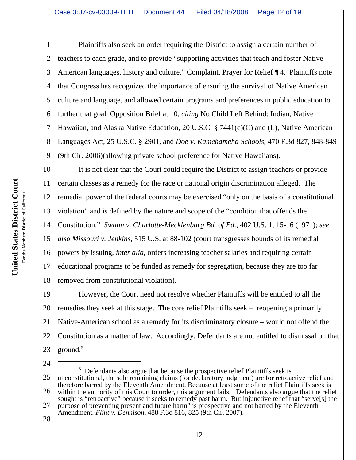2 3 4 5 6 7 8 9 Plaintiffs also seek an order requiring the District to assign a certain number of teachers to each grade, and to provide "supporting activities that teach and foster Native American languages, history and culture." Complaint, Prayer for Relief ¶ 4. Plaintiffs note that Congress has recognized the importance of ensuring the survival of Native American culture and language, and allowed certain programs and preferences in public education to further that goal. Opposition Brief at 10, *citing* No Child Left Behind: Indian, Native Hawaiian, and Alaska Native Education, 20 U.S.C. § 7441(c)(C) and (L), Native American Languages Act, 25 U.S.C. § 2901, and *Doe v. Kamehameha Schools*, 470 F.3d 827, 848-849 (9th Cir. 2006)(allowing private school preference for Native Hawaiians).

10 11 12 13 14 15 16 17 18 It is not clear that the Court could require the District to assign teachers or provide certain classes as a remedy for the race or national origin discrimination alleged. The remedial power of the federal courts may be exercised "only on the basis of a constitutional violation" and is defined by the nature and scope of the "condition that offends the Constitution." *Swann v. Charlotte-Mecklenburg Bd. of Ed*., 402 U.S. 1, 15-16 (1971); *see also Missouri v. Jenkins*, 515 U.S. at 88-102 (court transgresses bounds of its remedial powers by issuing, *inter alia*, orders increasing teacher salaries and requiring certain educational programs to be funded as remedy for segregation, because they are too far removed from constitutional violation).

19 20 21 22 23 However, the Court need not resolve whether Plaintiffs will be entitled to all the remedies they seek at this stage. The core relief Plaintiffs seek – reopening a primarily Native-American school as a remedy for its discriminatory closure – would not offend the Constitution as a matter of law. Accordingly, Defendants are not entitled to dismissal on that ground. $5$ 

24 25 26 27  $5$  Defendants also argue that because the prospective relief Plaintiffs seek is unconstitutional, the sole remaining claims (for declaratory judgment) are for retroactive relief and therefore barred by the Eleventh Amendment. Because at least some of the relief Plaintiffs seek is within the authority of this Court to order, this argument fails. Defendants also argue that the relief sought is "retroactive" because it seeks to remedy past harm. But injunctive relief that "serve[s] the purpose of preventing present and future harm" is prospective and not barred by the Eleventh Amendment. *Flint v. Dennison,* 488 F.3d 816, 825 (9th Cir. 2007).

28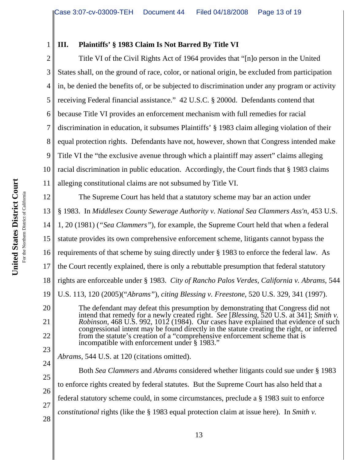# **III. Plaintiffs' § 1983 Claim Is Not Barred By Title VI**

2 3 4 5 6 7 8 9 10 11 Title VI of the Civil Rights Act of 1964 provides that "[n]o person in the United States shall, on the ground of race, color, or national origin, be excluded from participation in, be denied the benefits of, or be subjected to discrimination under any program or activity receiving Federal financial assistance." 42 U.S.C. § 2000d. Defendants contend that because Title VI provides an enforcement mechanism with full remedies for racial discrimination in education, it subsumes Plaintiffs' § 1983 claim alleging violation of their equal protection rights. Defendants have not, however, shown that Congress intended make Title VI the "the exclusive avenue through which a plaintiff may assert" claims alleging racial discrimination in public education. Accordingly, the Court finds that § 1983 claims alleging constitutional claims are not subsumed by Title VI.

12 13 14 15 16 17 18 19 20 21 22 23 The Supreme Court has held that a statutory scheme may bar an action under § 1983. In *Middlesex County Sewerage Authority v. National Sea Clammers Ass'n,* 453 U.S. 1, 20 (1981) (*"Sea Clammers"*), for example, the Supreme Court held that when a federal statute provides its own comprehensive enforcement scheme, litigants cannot bypass the requirements of that scheme by suing directly under § 1983 to enforce the federal law. As the Court recently explained, there is only a rebuttable presumption that federal statutory rights are enforceable under § 1983. *City of Rancho Palos Verdes, California v. Abrams*, 544 U.S. 113, 120 (2005)("*Abrams"*), *citing Blessing v. Freestone*, 520 U.S. 329, 341 (1997). The defendant may defeat this presumption by demonstrating that Congress did not intend that remedy for a newly created right. *See* [*Blessing*, 520 U.S. at 341]; *Smith v. Robinson*, 468 U.S. 992, 1012 (1984). Our cases have explained that evidence of such congressional intent may be found directly in the statute creating the right, or inferred from the statute's creation of a "comprehensive enforcement scheme that is incompatible with enforcement under § 1983."

*Abrams,* 544 U.S. at 120 (citations omitted).

24 25 26 27 28 Both *Sea Clammers* and *Abrams* considered whether litigants could sue under § 1983 to enforce rights created by federal statutes. But the Supreme Court has also held that a federal statutory scheme could, in some circumstances, preclude a § 1983 suit to enforce *constitutional* rights (like the § 1983 equal protection claim at issue here). In *Smith v.*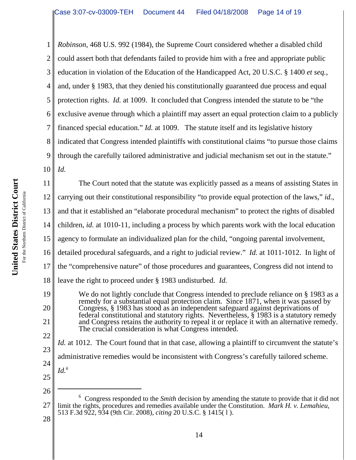1 2 3 4 5 6 7 8 9 10 *Robinson*, 468 U.S. 992 (1984), the Supreme Court considered whether a disabled child could assert both that defendants failed to provide him with a free and appropriate public education in violation of the Education of the Handicapped Act, 20 U.S.C. § 1400 *et seq.*, and, under § 1983, that they denied his constitutionally guaranteed due process and equal protection rights. *Id.* at 1009. It concluded that Congress intended the statute to be "the exclusive avenue through which a plaintiff may assert an equal protection claim to a publicly financed special education." *Id.* at 1009. The statute itself and its legislative history indicated that Congress intended plaintiffs with constitutional claims "to pursue those claims through the carefully tailored administrative and judicial mechanism set out in the statute." *Id.* 

11 12 13 14 15 16 17 18 19 The Court noted that the statute was explicitly passed as a means of assisting States in carrying out their constitutional responsibility "to provide equal protection of the laws," *id.*, and that it established an "elaborate procedural mechanism" to protect the rights of disabled children, *id.* at 1010-11, including a process by which parents work with the local education agency to formulate an individualized plan for the child, "ongoing parental involvement, detailed procedural safeguards, and a right to judicial review." *Id.* at 1011-1012. In light of the "comprehensive nature" of those procedures and guarantees, Congress did not intend to leave the right to proceed under § 1983 undisturbed. *Id.*

20 21 22 We do not lightly conclude that Congress intended to preclude reliance on § 1983 as a remedy for a substantial equal protection claim. Since 1871, when it was passed by Congress, § 1983 has stood as an independent safeguard against deprivations of federal constitutional and statutory rights. Nevertheless, § 1983 is a statutory remedy and Congress retains the authority to repeal it or replace it with an alternative remedy. The crucial consideration is what Congress intended.

23 24 *Id.* at 1012. The Court found that in that case, allowing a plaintiff to circumvent the statute's administrative remedies would be inconsistent with Congress's carefully tailored scheme.

25

*Id.6*

26

27 <sup>6</sup> Congress responded to the *Smith* decision by amending the statute to provide that it did not limit the rights, procedures and remedies available under the Constitution. *Mark H. v. Lemahieu,* 513 F.3d 922, 934 (9th Cir. 2008), *citing* 20 U.S.C. § 1415( l ).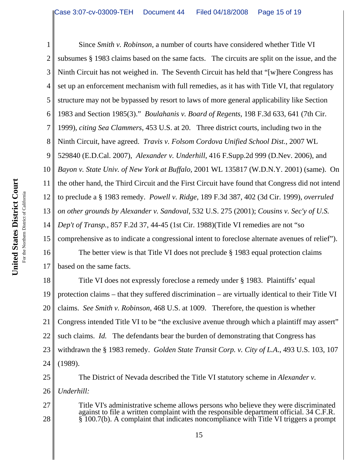United States District Court **United States District Court** For the Northern District of California For the Northern District of California

1 2 3 4 5 6 7 8 9 10 11 12 13 14 15 16 17 Since *Smith v. Robinson*, a number of courts have considered whether Title VI subsumes § 1983 claims based on the same facts. The circuits are split on the issue, and the Ninth Circuit has not weighed in. The Seventh Circuit has held that "[w]here Congress has set up an enforcement mechanism with full remedies, as it has with Title VI, that regulatory structure may not be bypassed by resort to laws of more general applicability like Section 1983 and Section 1985(3)." *Boulahanis v. Board of Regents,* 198 F.3d 633, 641 (7th Cir. 1999), *citing Sea Clammers*, 453 U.S. at 20. Three district courts, including two in the Ninth Circuit, have agreed. *Travis v. Folsom Cordova Unified School Dist.*, 2007 WL 529840 (E.D.Cal. 2007), *Alexander v. Underhill*, 416 F.Supp.2d 999 (D.Nev. 2006), and *Bayon v. State Univ. of New York at Buffalo,* 2001 WL 135817 (W.D.N.Y. 2001) (same). On the other hand, the Third Circuit and the First Circuit have found that Congress did not intend to preclude a § 1983 remedy. *Powell v. Ridge*, 189 F.3d 387, 402 (3d Cir. 1999), *overruled on other grounds by Alexander v. Sandoval*, 532 U.S. 275 (2001); *Cousins v. Sec'y of U.S. Dep't of Transp.*, 857 F.2d 37, 44-45 (1st Cir. 1988)(Title VI remedies are not "so comprehensive as to indicate a congressional intent to foreclose alternate avenues of relief"). The better view is that Title VI does not preclude § 1983 equal protection claims based on the same facts.

18 19 20 21 22 23 24 Title VI does not expressly foreclose a remedy under § 1983. Plaintiffs' equal protection claims – that they suffered discrimination – are virtually identical to their Title VI claims. *See Smith v. Robinson*, 468 U.S. at 1009. Therefore, the question is whether Congress intended Title VI to be "the exclusive avenue through which a plaintiff may assert" such claims. *Id.* The defendants bear the burden of demonstrating that Congress has withdrawn the § 1983 remedy. *Golden State Transit Corp. v. City of L.A*., 493 U.S. 103, 107 (1989).

The District of Nevada described the Title VI statutory scheme in *Alexander v.*

26 *Underhill:*

27 28

25

Title VI's administrative scheme allows persons who believe they were discriminated against to file a written complaint with the responsible department official. 34 C.F.R. § 100.7(b). A complaint that indicates noncompliance with Title VI triggers a prompt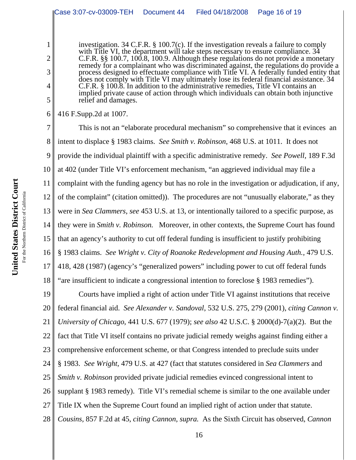investigation. 34 C.F.R. § 100.7(c). If the investigation reveals a failure to comply with Title VI, the department will take steps necessary to ensure compliance.  $3\overline{4}$ C.F.R. §§ 100.7, 100.8, 100.9. Although these regulations do not provide a monetary remedy for a complainant who was discriminated against, the regulations do provide a process designed to effectuate compliance with Title VI. A federally funded entity that does not comply with Title VI may ultimately lose its federal financial assistance. 34 C.F.R. § 100.8. In addition to the administrative remedies, Title VI contains an implied private cause of action through which individuals can obtain both injunctive relief and damages.

6 416 F.Supp.2d at 1007.

1

2

3

4

5

7 8 9 10 11 12 13 14 15 16 17 18 This is not an "elaborate procedural mechanism" so comprehensive that it evinces an intent to displace § 1983 claims. *See Smith v. Robinson*, 468 U.S. at 1011. It does not provide the individual plaintiff with a specific administrative remedy. *See Powell,* 189 F.3d at 402 (under Title VI's enforcement mechanism, "an aggrieved individual may file a complaint with the funding agency but has no role in the investigation or adjudication, if any, of the complaint" (citation omitted)). The procedures are not "unusually elaborate," as they were in *Sea Clammers*, *see* 453 U.S. at 13, or intentionally tailored to a specific purpose, as they were in *Smith v. Robinson.* Moreover, in other contexts, the Supreme Court has found that an agency's authority to cut off federal funding is insufficient to justify prohibiting § 1983 claims. *See Wright v. City of Roanoke Redevelopment and Housing Auth.,* 479 U.S. 418, 428 (1987) (agency's "generalized powers" including power to cut off federal funds "are insufficient to indicate a congressional intention to foreclose § 1983 remedies").

19 20 21 22 23 24 25 26 27 28 Courts have implied a right of action under Title VI against institutions that receive federal financial aid. *See Alexander v. Sandoval*, 532 U.S. 275, 279 (2001), *citing Cannon v. University of Chicago*, 441 U.S. 677 (1979); *see also* 42 U.S.C. § 2000(d)-7(a)(2). But the fact that Title VI itself contains no private judicial remedy weighs against finding either a comprehensive enforcement scheme, or that Congress intended to preclude suits under § 1983. *See Wright*, 479 U.S. at 427 (fact that statutes considered in *Sea Clammers* and *Smith v. Robinson* provided private judicial remedies evinced congressional intent to supplant § 1983 remedy). Title VI's remedial scheme is similar to the one available under Title IX when the Supreme Court found an implied right of action under that statute. *Cousins,* 857 F.2d at 45, *citing Cannon*, *supra.* As the Sixth Circuit has observed, *Cannon*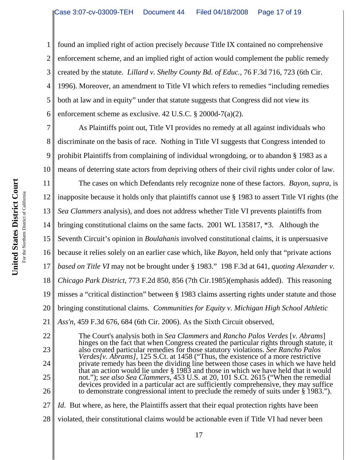1 2 3 4 5 6 found an implied right of action precisely *because* Title IX contained no comprehensive enforcement scheme, and an implied right of action would complement the public remedy created by the statute. *Lillard v. Shelby County Bd. of Educ.,* 76 F.3d 716, 723 (6th Cir. 1996). Moreover, an amendment to Title VI which refers to remedies "including remedies both at law and in equity" under that statute suggests that Congress did not view its enforcement scheme as exclusive. 42 U.S.C. § 2000d-7(a)(2).

7 8 9 10 As Plaintiffs point out, Title VI provides no remedy at all against individuals who discriminate on the basis of race. Nothing in Title VI suggests that Congress intended to prohibit Plaintiffs from complaining of individual wrongdoing, or to abandon § 1983 as a means of deterring state actors from depriving others of their civil rights under color of law.

11 12 13 14 15 16 17 18 19 20 The cases on which Defendants rely recognize none of these factors. *Bayon*, *supra*, is inapposite because it holds only that plaintiffs cannot use § 1983 to assert Title VI rights (the *Sea Clammers* analysis), and does not address whether Title VI prevents plaintiffs from bringing constitutional claims on the same facts. 2001 WL 135817, \*3. Although the Seventh Circuit's opinion in *Boulahanis* involved constitutional claims, it is unpersuasive because it relies solely on an earlier case which, like *Bayon*, held only that "private actions *based on Title VI* may not be brought under § 1983." 198 F.3d at 641, *quoting Alexander v. Chicago Park District*, 773 F.2d 850, 856 (7th Cir.1985)(emphasis added). This reasoning misses a "critical distinction" between § 1983 claims asserting rights under statute and those bringing constitutional claims. *Communities for Equity v. Michigan High School Athletic*

21 22 23 24 25 *Ass'n,* 459 F.3d 676, 684 (6th Cir. 2006). As the Sixth Circuit observed, The Court's analysis both in *Sea Clammers* and *Rancho Palos Verdes* [*v. Abrams*] hinges on the fact that when Congress created the particular rights through statute, it also created particular remedies for those statutory violations. *See Rancho Palos Verdes[v. Abrams]*, 125 S.Ct. at 1458 ("Thus, the existence of a more restrictive private remedy has been the dividing line between those cases in which we have held that an action would lie under § 1983 and those in which we have held that it would not."); *see also Sea Clammers*, 453 U.S. at 20, 101 S.Ct. 2615 ("When the remedial devices provided in a particular act are sufficiently comprehensive, they may suffice

- 27 *Id.* But where, as here, the Plaintiffs assert that their equal protection rights have been
- 28 violated, their constitutional claims would be actionable even if Title VI had never been

26

to demonstrate congressional intent to preclude the remedy of suits under § 1983.").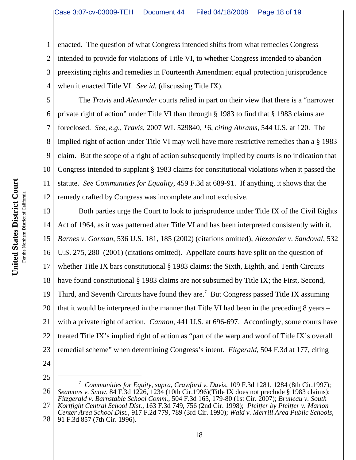1 2 3 4 enacted. The question of what Congress intended shifts from what remedies Congress intended to provide for violations of Title VI, to whether Congress intended to abandon preexisting rights and remedies in Fourteenth Amendment equal protection jurisprudence when it enacted Title VI. *See id.* (discussing Title IX).

5 6 7 8 9 10 11 12 The *Travis* and *Alexander* courts relied in part on their view that there is a "narrower private right of action" under Title VI than through § 1983 to find that § 1983 claims are foreclosed. *See, e.g., Travis*, 2007 WL 529840, \*6, *citing Abrams*, 544 U.S. at 120. The implied right of action under Title VI may well have more restrictive remedies than a § 1983 claim. But the scope of a right of action subsequently implied by courts is no indication that Congress intended to supplant § 1983 claims for constitutional violations when it passed the statute. *See Communities for Equality*, 459 F.3d at 689-91. If anything, it shows that the remedy crafted by Congress was incomplete and not exclusive.

13 14 15 16 17 18 19 20 21 22 23 Both parties urge the Court to look to jurisprudence under Title IX of the Civil Rights Act of 1964, as it was patterned after Title VI and has been interpreted consistently with it. *Barnes v. Gorman*, 536 U.S. 181, 185 (2002) (citations omitted); *Alexander v. Sandoval*, 532 U.S. 275, 280 (2001) (citations omitted). Appellate courts have split on the question of whether Title IX bars constitutional § 1983 claims: the Sixth, Eighth, and Tenth Circuits have found constitutional § 1983 claims are not subsumed by Title IX; the First, Second, Third, and Seventh Circuits have found they are.<sup>7</sup> But Congress passed Title IX assuming that it would be interpreted in the manner that Title VI had been in the preceding 8 years – with a private right of action. *Cannon,* 441 U.S. at 696-697. Accordingly, some courts have treated Title IX's implied right of action as "part of the warp and woof of Title IX's overall remedial scheme" when determining Congress's intent. *Fitgerald*, 504 F.3d at 177, citing

- 24
- 25

26 27 7 *Communities for Equity*, *supra*, *Crawford v. Davis*, 109 F.3d 1281, 1284 (8th Cir.1997); *Seamons v. Snow*, 84 F.3d 1226, 1234 (10th Cir.1996)(Title IX does not preclude § 1983 claims); *Fitzgerald v. Barnstable School Comm.*, 504 F.3d 165, 179-80 (1st Cir. 2007); *Bruneau v. South Kortfight Central School Dist.*, 163 F.3d 749, 756 (2nd Cir. 1998); *Pfeiffer by Pfeiffer v. Marion*

28 *Center Area School Dist.*, 917 F.2d 779, 789 (3rd Cir. 1990); *Waid v. Merrill Area Public Schools*, 91 F.3d 857 (7th Cir. 1996).